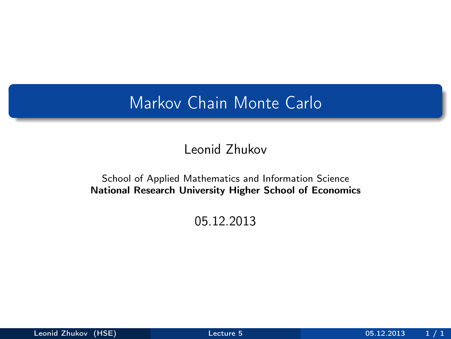## <span id="page-0-0"></span>Markov Chain Monte Carlo

#### Leonid Zhukov

#### School of Applied Mathematics and Information Science National Research University Higher School of Economics

#### 05.12.2013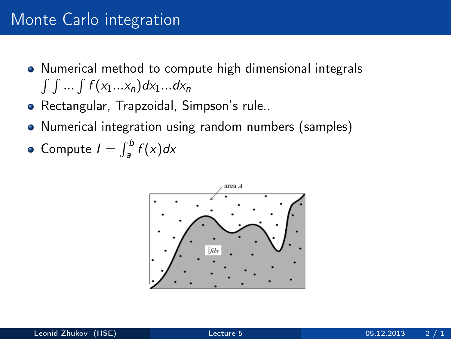## Monte Carlo integration

- Numerical method to compute high dimensional integrals  $\int \int ... \int f(x_1...x_n) dx_1...dx_n$
- Rectangular, Trapzoidal, Simpson's rule..
- Numerical integration using random numbers (samples)
- Compute  $I = \int_a^b f(x) dx$

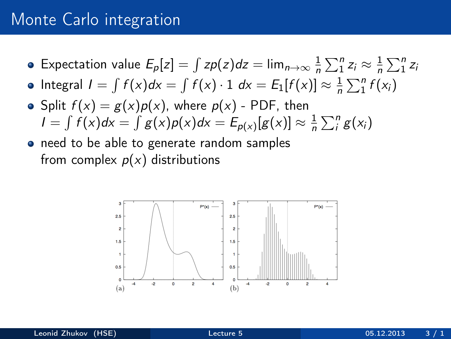## Monte Carlo integration

- Expectation value  $E_p[z] = \int z p(z) dz = \lim_{n \to \infty} \frac{1}{n}$  $\frac{1}{n}\sum_{1}^{n}z_{i}\approx\frac{1}{n}$  $\frac{1}{n}\sum_{1}^{n}z_{i}$
- Integral  $I = \int f(x)dx = \int f(x) \cdot 1 dx = E_1[f(x)] \approx \frac{1}{n}$  $\frac{1}{n}\sum_{1}^{n}f(x_i)$
- Split  $f(x) = g(x)p(x)$ , where  $p(x)$  PDF, then  $I = \int f(x)dx = \int g(x)p(x)dx = E_{p(x)}[g(x)] \approx \frac{1}{n}$  $\frac{1}{n}\sum_{i}^{n}g(x_{i})$
- need to be able to generate random samples from complex  $p(x)$  distributions

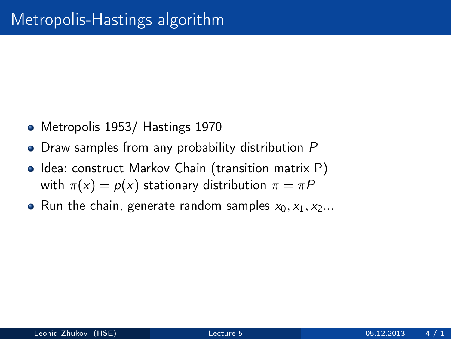- Metropolis 1953/ Hastings 1970
- Draw samples from any probability distribution P
- Idea: construct Markov Chain (transition matrix P) with  $\pi(x) = p(x)$  stationary distribution  $\pi = \pi P$
- Run the chain, generate random samples  $x_0, x_1, x_2...$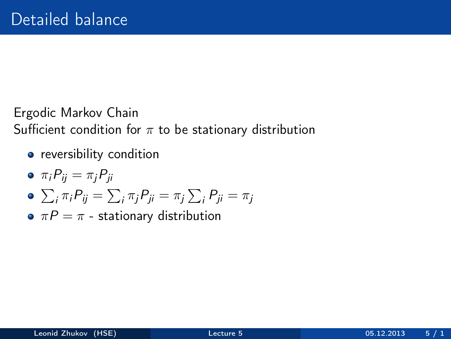#### Ergodic Markov Chain Sufficient condition for  $\pi$  to be stationary distribution

- **•** reversibility condition
- $\bullet \pi_i P_{ii} = \pi_i P_{ii}$
- $\sum_i \pi_i P_{ij} = \sum_i \pi_j P_{ji} = \pi_j \sum_i P_{ji} = \pi_j$
- $\bullet \pi P = \pi$  stationary distribution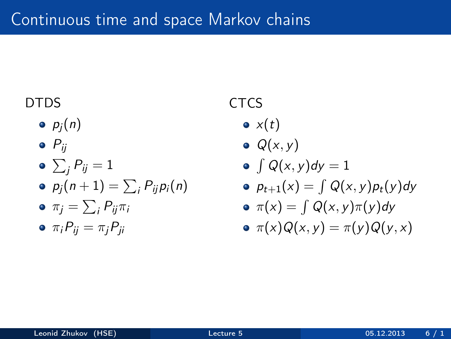#### DTDS

 $\bullet$   $p_i(n)$ 

$$
\bullet \ \ P_{ij}
$$

$$
\bullet \sum_{j} P_{ij} = 1
$$

$$
\bullet \ \ p_j(n+1) = \sum_i P_{ij} p_i(n)
$$

$$
\bullet \ \pi_j = \sum_i P_{ij} \pi_i
$$

$$
\bullet \ \pi_i P_{ij} = \pi_j P_{ji}
$$

### **CTCS**

- $\bullet x(t)$
- $\bullet$   $Q(x, y)$

$$
\bullet \int Q(x,y)dy=1
$$

 $p_{t+1}(x) = \int Q(x, y)p_t(y)dy$ 

$$
\bullet \ \pi(x) = \int Q(x, y) \pi(y) dy
$$

$$
\bullet \ \pi(x)Q(x,y)=\pi(y)Q(y,x)
$$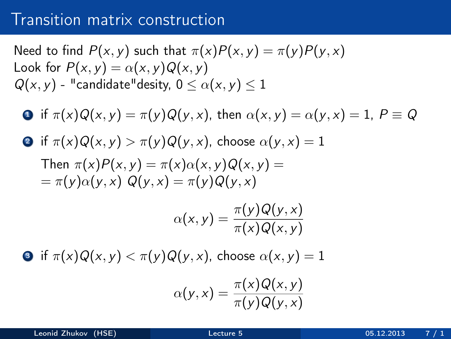### Transition matrix construction

Need to find 
$$
P(x, y)
$$
 such that  $\pi(x)P(x, y) = \pi(y)P(y, x)$   
Look for  $P(x, y) = \alpha(x, y)Q(x, y)$   
 $Q(x, y) -$  "candidate" density,  $0 \le \alpha(x, y) \le 1$ 

- **1** if  $\pi(x)Q(x, y) = \pi(y)Q(y, x)$ , then  $\alpha(x, y) = \alpha(y, x) = 1$ ,  $P \equiv Q$
- **2** if  $\pi(x)Q(x, y) > \pi(y)Q(y, x)$ , choose  $\alpha(y, x) = 1$ Then  $\pi(x)P(x, y) = \pi(x)\alpha(x, y)Q(x, y) =$  $=\pi(v)\alpha(v,x)$   $Q(v,x)=\pi(v)Q(v,x)$

$$
\alpha(x,y) = \frac{\pi(y)Q(y,x)}{\pi(x)Q(x,y)}
$$

**3** if  $\pi(x)Q(x, y) < \pi(y)Q(y, x)$ , choose  $\alpha(x, y) = 1$ 

$$
\alpha(y,x) = \frac{\pi(x)Q(x,y)}{\pi(y)Q(y,x)}
$$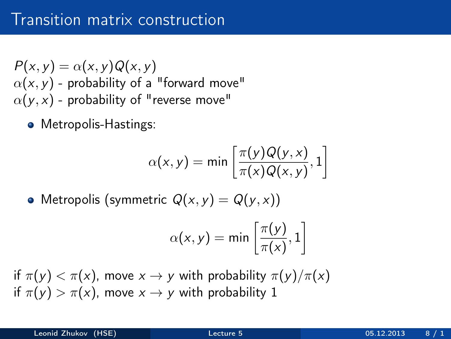$P(x, y) = \alpha(x, y)Q(x, y)$  $\alpha(x, y)$  - probability of a "forward move"  $\alpha(y, x)$  - probability of "reverse move"

• Metropolis-Hastings:

$$
\alpha(x, y) = \min\left[\frac{\pi(y)Q(y, x)}{\pi(x)Q(x, y)}, 1\right]
$$

• Metropolis (symmetric  $Q(x, y) = Q(y, x)$ )

$$
\alpha(x,y)=\min\left[\frac{\pi(y)}{\pi(x)},1\right]
$$

if  $\pi(y) < \pi(x)$ , move  $x \to y$  with probability  $\pi(y)/\pi(x)$ if  $\pi(y) > \pi(x)$ , move  $x \to y$  with probability 1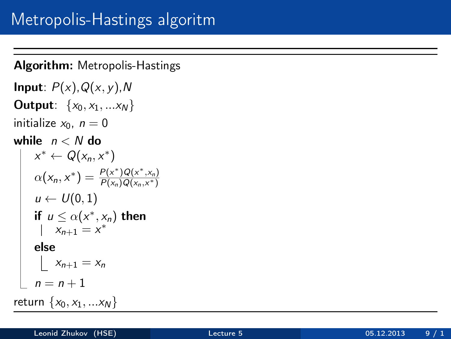#### Algorithm: Metropolis-Hastings

```
Input: P(x), Q(x, y), N
Output: \{x_0, x_1, ... x_N\}initialize x_0, n = 0while n < N do
      x^* \leftarrow Q(x_n, x^*)\alpha(x_n, x^*) = \frac{P(x^*)Q(x^*,x_n)}{P(x_n)Q(x_n, x^*)}P(x_n)Q(x_n,x^*)u \leftarrow U(0, 1)if u \leq \alpha(x^*, x_n) then
           x_{n+1} = x^*else
           x_{n+1} = x_nn = n + 1return \{x_0, x_1, ... x_N\}
```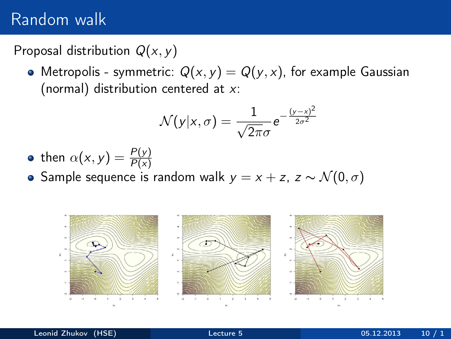## Random walk

#### Proposal distribution  $Q(x, y)$

• Metropolis - symmetric:  $Q(x, y) = Q(y, x)$ , for example Gaussian (normal) distribution centered at  $x$ :

$$
\mathcal{N}(y|x,\sigma) = \frac{1}{\sqrt{2\pi}\sigma}e^{-\frac{(y-x)^2}{2\sigma^2}}
$$

- then  $\alpha(x,y) = \frac{P(y)}{P(x)}$
- Sample sequence is random walk  $y = x + z$ ,  $z \sim \mathcal{N}(0, \sigma)$

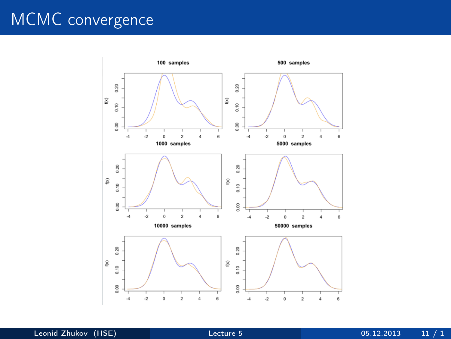# MCMC convergence

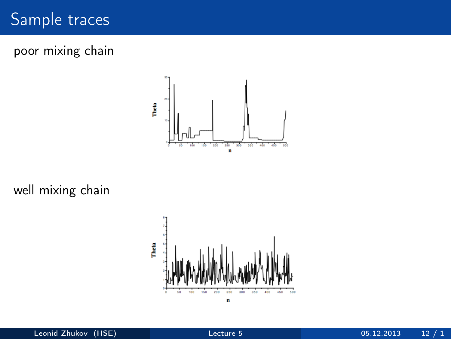## Sample traces

poor mixing chain



well mixing chain

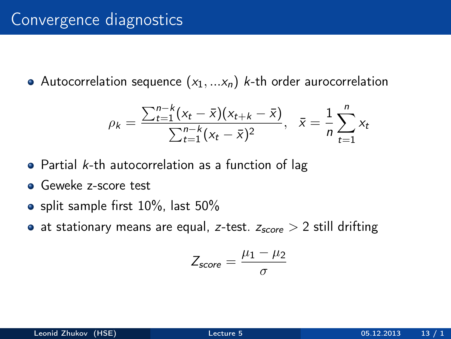## Convergence diagnostics

• Autocorrelation sequence  $(x_1, \ldots, x_n)$  k-th order aurocorrelation

$$
\rho_k = \frac{\sum_{t=1}^{n-k} (x_t - \bar{x})(x_{t+k} - \bar{x})}{\sum_{t=1}^{n-k} (x_t - \bar{x})^2}, \quad \bar{x} = \frac{1}{n} \sum_{t=1}^{n} x_t
$$

- $\bullet$  Partial *k*-th autocorrelation as a function of lag
- **Geweke z-score test**
- $\bullet$  split sample first 10%, last 50%
- at stationary means are equal, z-test.  $z_{score} > 2$  still drifting

$$
Z_{score} = \frac{\mu_1 - \mu_2}{\sigma}
$$